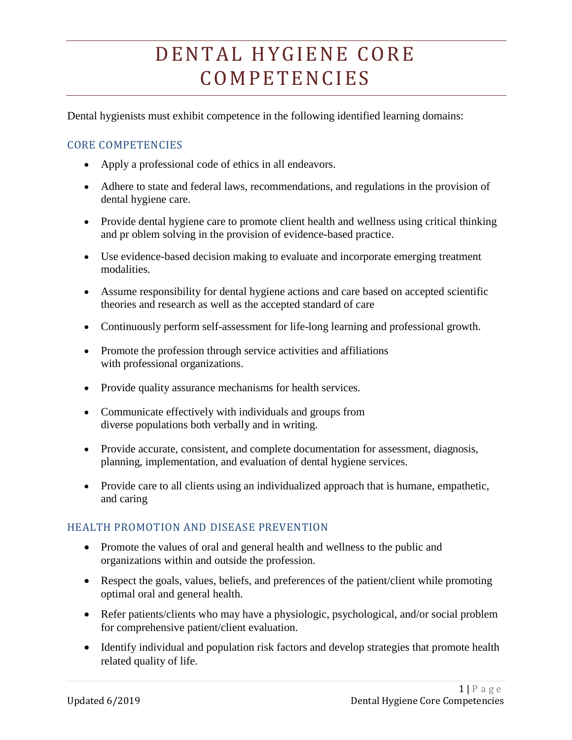# DENTAL HYGIENE CORE C O M P E T E N C I E S

Dental hygienists must exhibit competence in the following identified learning domains:

## CORE COMPETENCIES

- Apply a professional code of ethics in all endeavors.
- Adhere to state and federal laws, recommendations, and regulations in the provision of dental hygiene care.
- Provide dental hygiene care to promote client health and wellness using critical thinking and pr oblem solving in the provision of evidence-based practice.
- Use evidence-based decision making to evaluate and incorporate emerging treatment modalities.
- Assume responsibility for dental hygiene actions and care based on accepted scientific theories and research as well as the accepted standard of care
- Continuously perform self-assessment for life-long learning and professional growth.
- Promote the profession through service activities and affiliations with professional organizations.
- Provide quality assurance mechanisms for health services.
- Communicate effectively with individuals and groups from diverse populations both verbally and in writing.
- Provide accurate, consistent, and complete documentation for assessment, diagnosis, planning, implementation, and evaluation of dental hygiene services.
- Provide care to all clients using an individualized approach that is humane, empathetic, and caring

#### HEALTH PROMOTION AND DISEASE PREVENTION

- Promote the values of oral and general health and wellness to the public and organizations within and outside the profession.
- Respect the goals, values, beliefs, and preferences of the patient/client while promoting optimal oral and general health.
- Refer patients/clients who may have a physiologic, psychological, and/or social problem for comprehensive patient/client evaluation.
- Identify individual and population risk factors and develop strategies that promote health related quality of life.